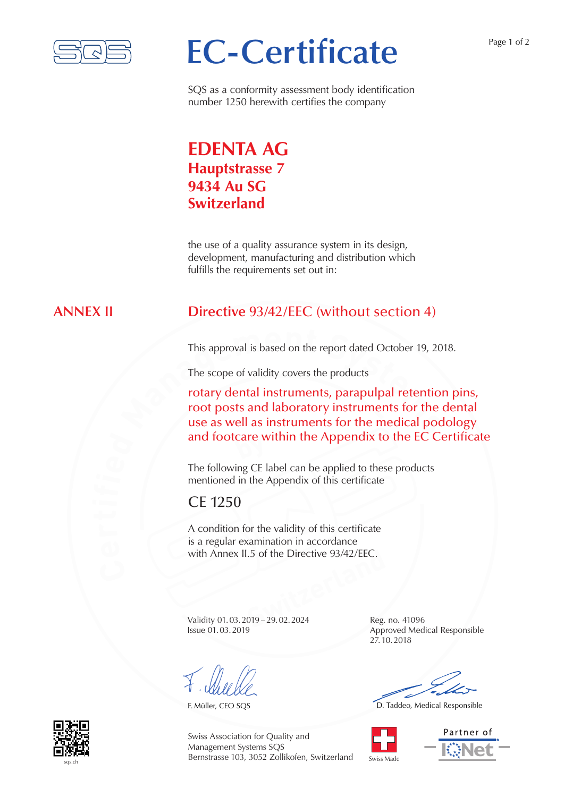

# **EC-Certificate**

Page 1 of 2

SQS as a conformity assessment body identification number 1250 herewith certifies the company

## **EDENTA AG Hauptstrasse 7 9434 Au SG Switzerland**

the use of a quality assurance system in its design, development, manufacturing and distribution which fulfills the requirements set out in:

### **ANNEX II Directive** 93/42/EEC (without section 4)

This approval is based on the report dated October 19, 2018.

The scope of validity covers the products

This approval is based on the report dated October 19, 20<br>The scope of validity covers the products<br>**rotary dental instruments, parapulpal retentio**<br>**root posts and laboratory instruments for the<br>use as well as instruments by** and footcare within the Appendix to the EC Certificate rotary dental instruments, parapulpal retention pins, root posts and laboratory instruments for the dental use as well as instruments for the medical podology

> The following CE label can be applied to these products mentioned in the Appendix of this certificate

## CE 1250

**I.5 of the Directive 93/42/EEC.**<br> **Switzerlands**<br> **Switch 29.02.2024**<br> **Reg.** A condition for the validity of this certificate is a regular examination in accordance with Annex II.5 of the Directive 93/42/FFC.

Validity 01.03.2019 – 29.02.2024 Reg. no. 41096 Issue 01.03.2019 Approved Medical Responsible

27.10.2018

F. Müller, CEO SQS **D. Taddeo, Medical Responsible** 







Swiss Association for Quality and Management Systems SQS Bernstrasse 103, 3052 Zollikofen, Switzerland

Swiss Made